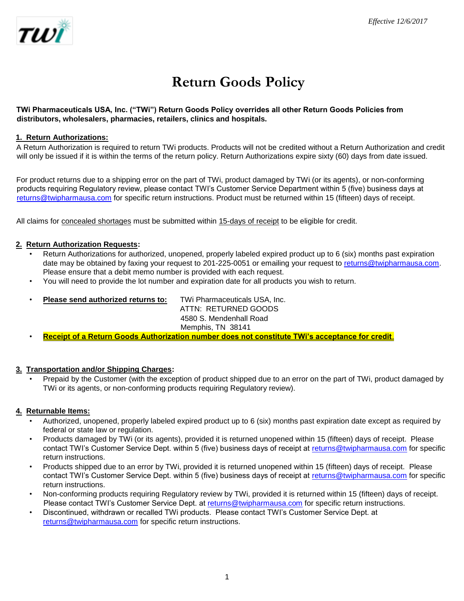

# **Return Goods Policy**

#### **TWi Pharmaceuticals USA, Inc. ("TWi") Return Goods Policy overrides all other Return Goods Policies from distributors, wholesalers, pharmacies, retailers, clinics and hospitals.**

## **1. Return Authorizations:**

A Return Authorization is required to return TWi products. Products will not be credited without a Return Authorization and credit will only be issued if it is within the terms of the return policy. Return Authorizations expire sixty (60) days from date issued.

For product returns due to a shipping error on the part of TWi, product damaged by TWi (or its agents), or non-conforming products requiring Regulatory review, please contact TWI's Customer Service Department within 5 (five) business days at returns@twipharmausa.com for specific return instructions. Product must be returned within 15 (fifteen) days of receipt.

All claims for concealed shortages must be submitted within 15-days of receipt to be eligible for credit.

#### **2. Return Authorization Requests:**

- Return Authorizations for authorized, unopened, properly labeled expired product up to 6 (six) months past expiration date may be obtained by faxing your request to 201-225-0051 or emailing your request to returns@twipharmausa.com. Please ensure that a debit memo number is provided with each request.
- You will need to provide the lot number and expiration date for all products you wish to return.
- **Please send authorized returns to:** TWi Pharmaceuticals USA, Inc.

ATTN: RETURNED GOODS 4580 S. Mendenhall Road Memphis, TN 38141

• **Receipt of a Return Goods Authorization number does not constitute TWi's acceptance for credit**.

#### **3. Transportation and/or Shipping Charges:**

• Prepaid by the Customer (with the exception of product shipped due to an error on the part of TWi, product damaged by TWi or its agents, or non-conforming products requiring Regulatory review).

#### **4. Returnable Items:**

- Authorized, unopened, properly labeled expired product up to 6 (six) months past expiration date except as required by federal or state law or regulation.
- Products damaged by TWi (or its agents), provided it is returned unopened within 15 (fifteen) days of receipt. Please contact TWI's Customer Service Dept. within 5 (five) business days of receipt at returns@twipharmausa.com for specific return instructions.
- Products shipped due to an error by TWi, provided it is returned unopened within 15 (fifteen) days of receipt. Please contact TWI's Customer Service Dept. within 5 (five) business days of receipt at returns@twipharmausa.com for specific return instructions.
- Non-conforming products requiring Regulatory review by TWi, provided it is returned within 15 (fifteen) days of receipt. Please contact TWI's Customer Service Dept. at returns@twipharmausa.com for specific return instructions.
- Discontinued, withdrawn or recalled TWi products. Please contact TWI's Customer Service Dept. at returns@twipharmausa.com for specific return instructions.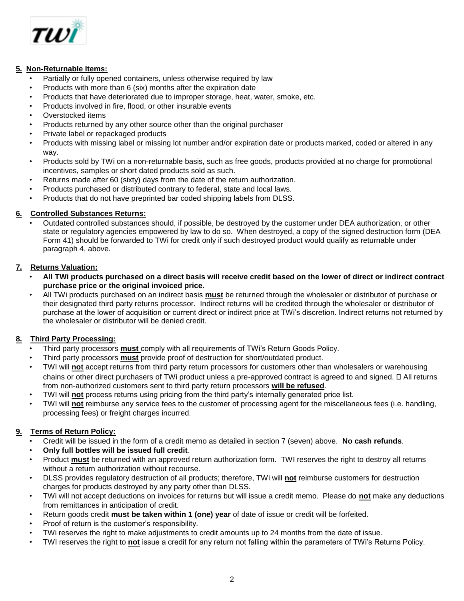

## **5. Non-Returnable Items:**

- Partially or fully opened containers, unless otherwise required by law
- Products with more than 6 (six) months after the expiration date
- Products that have deteriorated due to improper storage, heat, water, smoke, etc.
- Products involved in fire, flood, or other insurable events
- Overstocked items
- Products returned by any other source other than the original purchaser
- Private label or repackaged products
- Products with missing label or missing lot number and/or expiration date or products marked, coded or altered in any way.
- Products sold by TWi on a non-returnable basis, such as free goods, products provided at no charge for promotional incentives, samples or short dated products sold as such.
- Returns made after 60 (sixty) days from the date of the return authorization.
- Products purchased or distributed contrary to federal, state and local laws.
- Products that do not have preprinted bar coded shipping labels from DLSS.

## **6. Controlled Substances Returns:**

• Outdated controlled substances should, if possible, be destroyed by the customer under DEA authorization, or other state or regulatory agencies empowered by law to do so. When destroyed, a copy of the signed destruction form (DEA Form 41) should be forwarded to TWi for credit only if such destroyed product would qualify as returnable under paragraph 4, above.

# **7. Returns Valuation:**

- **All TWi products purchased on a direct basis will receive credit based on the lower of direct or indirect contract purchase price or the original invoiced price.**
- All TWi products purchased on an indirect basis **must** be returned through the wholesaler or distributor of purchase or their designated third party returns processor. Indirect returns will be credited through the wholesaler or distributor of purchase at the lower of acquisition or current direct or indirect price at TWi's discretion. Indirect returns not returned by the wholesaler or distributor will be denied credit.

# **8. Third Party Processing:**

- Third party processors **must** comply with all requirements of TWi's Return Goods Policy.
- Third party processors **must** provide proof of destruction for short/outdated product.
- TWI will **not** accept returns from third party return processors for customers other than wholesalers or warehousing chains or other direct purchasers of TWi product unless a pre-approved contract is agreed to and signed.  $\Box$  All returns from non-authorized customers sent to third party return processors **will be refused**.
- TWI will **not** process returns using pricing from the third party's internally generated price list.
- TWI will **not** reimburse any service fees to the customer of processing agent for the miscellaneous fees (i.e. handling, processing fees) or freight charges incurred.

## **9. Terms of Return Policy:**

- Credit will be issued in the form of a credit memo as detailed in section 7 (seven) above. **No cash refunds**.
- **Only full bottles will be issued full credit**.
- Product **must** be returned with an approved return authorization form. TWI reserves the right to destroy all returns without a return authorization without recourse.
- DLSS provides regulatory destruction of all products; therefore, TWi will **not** reimburse customers for destruction charges for products destroyed by any party other than DLSS.
- TWi will not accept deductions on invoices for returns but will issue a credit memo. Please do **not** make any deductions from remittances in anticipation of credit.
- Return goods credit **must be taken within 1 (one) year** of date of issue or credit will be forfeited.
- Proof of return is the customer's responsibility.
- TWi reserves the right to make adjustments to credit amounts up to 24 months from the date of issue.
- TWI reserves the right to **not** issue a credit for any return not falling within the parameters of TWi's Returns Policy.